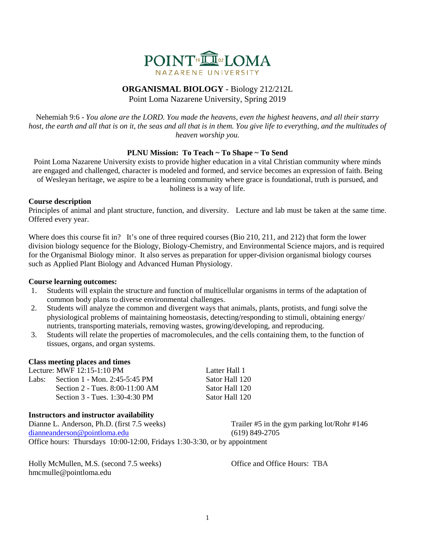

# **ORGANISMAL BIOLOGY -** Biology 212/212L

Point Loma Nazarene University, Spring 2019

Nehemiah 9:6 - *You alone are the LORD. You made the heavens, even the highest heavens, and all their starry host, the earth and all that is on it, the seas and all that is in them. You give life to everything, and the multitudes of heaven worship you.*

# **PLNU Mission: To Teach ~ To Shape ~ To Send**

Point Loma Nazarene University exists to provide higher education in a vital Christian community where minds are engaged and challenged, character is modeled and formed, and service becomes an expression of faith. Being of Wesleyan heritage, we aspire to be a learning community where grace is foundational, truth is pursued, and holiness is a way of life.

# **Course description**

Principles of animal and plant structure, function, and diversity. Lecture and lab must be taken at the same time. Offered every year.

Where does this course fit in? It's one of three required courses (Bio 210, 211, and 212) that form the lower division biology sequence for the Biology, Biology-Chemistry, and Environmental Science majors, and is required for the Organismal Biology minor. It also serves as preparation for upper-division organismal biology courses such as Applied Plant Biology and Advanced Human Physiology.

#### **Course learning outcomes:**

- 1. Students will explain the structure and function of multicellular organisms in terms of the adaptation of common body plans to diverse environmental challenges.
- 2. Students will analyze the common and divergent ways that animals, plants, protists, and fungi solve the physiological problems of maintaining homeostasis, detecting/responding to stimuli, obtaining energy/ nutrients, transporting materials, removing wastes, growing/developing, and reproducing.
- 3. Students will relate the properties of macromolecules, and the cells containing them, to the function of tissues, organs, and organ systems.

#### **Class meeting places and times**

Lecture: MWF 12:15-1:10 PM Latter Hall 1 Labs: Section 1 - Mon. 2:45-5:45 PM Sator Hall 120

Section 2 - Tues. 8:00-11:00 AM Sator Hall 120 Section 3 - Tues. 1:30-4:30 PM Sator Hall 120

# **Instructors and instructor availability**

Dianne L. Anderson, Ph.D. (first 7.5 weeks) Trailer #5 in the gym parking lot/Rohr #146 [dianneanderson@pointloma.edu](mailto:dianneanderson@pointloma.edu) (619) 849-2705

Office hours: Thursdays 10:00-12:00, Fridays 1:30-3:30, or by appointment

Holly McMullen, M.S. (second 7.5 weeks) Office and Office Hours: TBA hmcmulle@pointloma.edu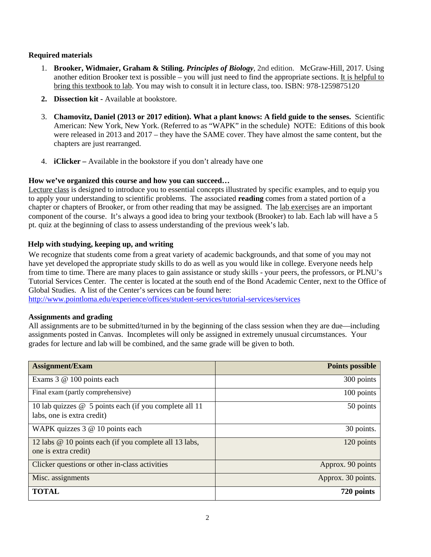# **Required materials**

- 1. **Brooker, Widmaier, Graham & Stiling.** *Principles of Biology,* 2nd edition. McGraw-Hill, 2017*.* Using another edition Brooker text is possible – you will just need to find the appropriate sections. It is helpful to bring this textbook to lab. You may wish to consult it in lecture class, too. ISBN: 978-1259875120
- **2. Dissection kit -** Available at bookstore.
- 3. **Chamovitz, Daniel (2013 or 2017 edition). What a plant knows: A field guide to the senses.** Scientific American: New York, New York. (Referred to as "WAPK" in the schedule) NOTE: Editions of this book were released in 2013 and 2017 – they have the SAME cover. They have almost the same content, but the chapters are just rearranged.
- 4. **iClicker –** Available in the bookstore if you don't already have one

# **How we've organized this course and how you can succeed…**

Lecture class is designed to introduce you to essential concepts illustrated by specific examples, and to equip you to apply your understanding to scientific problems. The associated **reading** comes from a stated portion of a chapter or chapters of Brooker, or from other reading that may be assigned. The lab exercises are an important component of the course. It's always a good idea to bring your textbook (Brooker) to lab. Each lab will have a 5 pt. quiz at the beginning of class to assess understanding of the previous week's lab.

# **Help with studying, keeping up, and writing**

We recognize that students come from a great variety of academic backgrounds, and that some of you may not have yet developed the appropriate study skills to do as well as you would like in college. Everyone needs help from time to time. There are many places to gain assistance or study skills - your peers, the professors, or PLNU's Tutorial Services Center. The center is located at the south end of the Bond Academic Center, next to the Office of Global Studies. A list of the Center's services can be found here:

<http://www.pointloma.edu/experience/offices/student-services/tutorial-services/services>

# **Assignments and grading**

All assignments are to be submitted/turned in by the beginning of the class session when they are due—including assignments posted in Canvas. Incompletes will only be assigned in extremely unusual circumstances. Your grades for lecture and lab will be combined, and the same grade will be given to both.

| <b>Assignment/Exam</b>                                                               | <b>Points possible</b> |
|--------------------------------------------------------------------------------------|------------------------|
| Exams 3 @ 100 points each                                                            | 300 points             |
| Final exam (partly comprehensive)                                                    | 100 points             |
| 10 lab quizzes @ 5 points each (if you complete all 11<br>labs, one is extra credit) | 50 points              |
| WAPK quizzes 3 @ 10 points each                                                      | 30 points.             |
| 12 labs @ 10 points each (if you complete all 13 labs,<br>one is extra credit)       | 120 points             |
| Clicker questions or other in-class activities                                       | Approx. 90 points      |
| Misc. assignments                                                                    | Approx. 30 points.     |
| <b>TOTAL</b>                                                                         | 720 points             |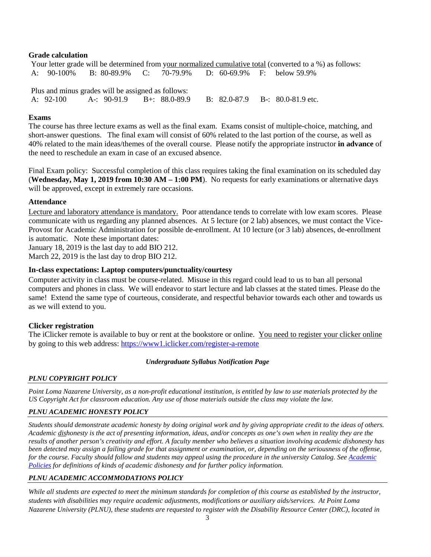#### **Grade calculation**

Your letter grade will be determined from your normalized cumulative total (converted to a %) as follows: A: 90-100% B: 80-89.9% C: 70-79.9% D: 60-69.9% F: below 59.9% Plus and minus grades will be assigned as follows:

A: 92-100 A-: 90-91.9 B+: 88.0-89.9 B: 82.0-87.9 B-: 80.0-81.9 etc.

#### **Exams**

The course has three lecture exams as well as the final exam. Exams consist of multiple-choice, matching, and short-answer questions. The final exam will consist of 60% related to the last portion of the course, as well as 40% related to the main ideas/themes of the overall course. Please notify the appropriate instructor **in advance** of the need to reschedule an exam in case of an excused absence.

Final Exam policy: Successful completion of this class requires taking the final examination on its scheduled day (**Wednesday, May 1, 2019 from 10:30 AM – 1:00 PM**). No requests for early examinations or alternative days will be approved, except in extremely rare occasions.

# **Attendance**

Lecture and laboratory attendance is mandatory. Poor attendance tends to correlate with low exam scores. Please communicate with us regarding any planned absences. At 5 lecture (or 2 lab) absences, we must contact the Vice-Provost for Academic Administration for possible de-enrollment. At 10 lecture (or 3 lab) absences, de-enrollment is automatic. Note these important dates:

January 18, 2019 is the last day to add BIO 212.

March 22, 2019 is the last day to drop BIO 212.

# **In-class expectations: Laptop computers/punctuality/courtesy**

Computer activity in class must be course-related. Misuse in this regard could lead to us to ban all personal computers and phones in class. We will endeavor to start lecture and lab classes at the stated times. Please do the same! Extend the same type of courteous, considerate, and respectful behavior towards each other and towards us as we will extend to you.

# **Clicker registration**

The iClicker remote is available to buy or rent at the bookstore or online. You need to register your clicker online by going to this web address:<https://www1.iclicker.com/register-a-remote>

# *Undergraduate Syllabus Notification Page*

# *PLNU COPYRIGHT POLICY*

*Point Loma Nazarene University, as a non-profit educational institution, is entitled by law to use materials protected by the US Copyright Act for classroom education. Any use of those materials outside the class may violate the law.*

# *PLNU ACADEMIC HONESTY POLICY*

*Students should demonstrate academic honesty by doing original work and by giving appropriate credit to the ideas of others. Academic dishonesty is the act of presenting information, ideas, and/or concepts as one's own when in reality they are the results of another person's creativity and effort. A faculty member who believes a situation involving academic dishonesty has been detected may assign a failing grade for that assignment or examination, or, depending on the seriousness of the offense, for the course. Faculty should follow and students may appeal using the procedure in the university Catalog. Se[e Academic](http://catalog.pointloma.edu/content.php?catoid=18&navoid=1278)  [Policies](http://catalog.pointloma.edu/content.php?catoid=18&navoid=1278) for definitions of kinds of academic dishonesty and for further policy information.*

# *PLNU ACADEMIC ACCOMMODATIONS POLICY*

*While all students are expected to meet the minimum standards for completion of this course as established by the instructor, students with disabilities may require academic adjustments, modifications or auxiliary aids/services. At Point Loma Nazarene University (PLNU), these students are requested to register with the Disability Resource Center (DRC), located in*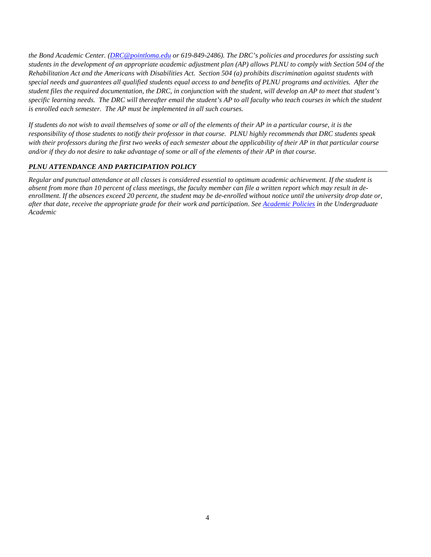*the Bond Academic Center. [\(DRC@pointloma.edu](mailto:DRC@pointloma.edu) or 619-849-2486). The DRC's policies and procedures for assisting such students in the development of an appropriate academic adjustment plan (AP) allows PLNU to comply with Section 504 of the Rehabilitation Act and the Americans with Disabilities Act. Section 504 (a) prohibits discrimination against students with special needs and guarantees all qualified students equal access to and benefits of PLNU programs and activities. After the student files the required documentation, the DRC, in conjunction with the student, will develop an AP to meet that student's specific learning needs. The DRC will thereafter email the student's AP to all faculty who teach courses in which the student is enrolled each semester. The AP must be implemented in all such courses.*

*If students do not wish to avail themselves of some or all of the elements of their AP in a particular course, it is the responsibility of those students to notify their professor in that course. PLNU highly recommends that DRC students speak with their professors during the first two weeks of each semester about the applicability of their AP in that particular course and/or if they do not desire to take advantage of some or all of the elements of their AP in that course.*

#### *PLNU ATTENDANCE AND PARTICIPATION POLICY*

*Regular and punctual attendance at all classes is considered essential to optimum academic achievement. If the student is absent from more than 10 percent of class meetings, the faculty member can file a written report which may result in deenrollment. If the absences exceed 20 percent, the student may be de-enrolled without notice until the university drop date or, after that date, receive the appropriate grade for their work and participation. Se[e Academic Policies](http://catalog.pointloma.edu/content.php?catoid=18&navoid=1278) in the Undergraduate Academic*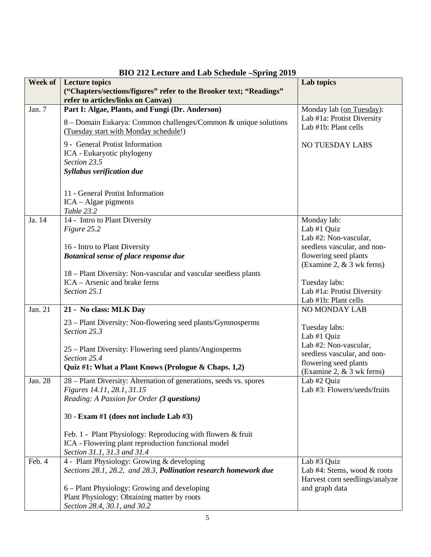| Week of | <b>Lecture topics</b>                                              | Lab topics                                             |
|---------|--------------------------------------------------------------------|--------------------------------------------------------|
|         | ("Chapters/sections/figures" refer to the Brooker text; "Readings" |                                                        |
|         | refer to articles/links on Canvas)                                 |                                                        |
| Jan. 7  | Part I: Algae, Plants, and Fungi (Dr. Anderson)                    | Monday lab (on Tuesday):<br>Lab #1a: Protist Diversity |
|         | 8 - Domain Eukarya: Common challenges/Common & unique solutions    | Lab #1b: Plant cells                                   |
|         | (Tuesday start with Monday schedule!)                              |                                                        |
|         | 9 - General Protist Information                                    | <b>NO TUESDAY LABS</b>                                 |
|         | ICA - Eukaryotic phylogeny                                         |                                                        |
|         | Section 23.5                                                       |                                                        |
|         | Syllabus verification due                                          |                                                        |
|         |                                                                    |                                                        |
|         | 11 - General Protist Information                                   |                                                        |
|         | $ICA - Algae$ pigments                                             |                                                        |
|         | Table 23.2                                                         |                                                        |
| Ja. 14  | 14 - Intro to Plant Diversity                                      | Monday lab:                                            |
|         | Figure 25.2                                                        | Lab #1 Quiz<br>Lab #2: Non-vascular,                   |
|         | 16 - Intro to Plant Diversity                                      | seedless vascular, and non-                            |
|         | <b>Botanical sense of place response due</b>                       | flowering seed plants                                  |
|         |                                                                    | (Examine 2, $&3$ wk ferns)                             |
|         | 18 – Plant Diversity: Non-vascular and vascular seedless plants    |                                                        |
|         | ICA – Arsenic and brake ferns                                      | Tuesday labs:                                          |
|         | Section 25.1                                                       | Lab #1a: Protist Diversity                             |
|         |                                                                    | Lab #1b: Plant cells                                   |
| Jan. 21 | 21 - No class: MLK Day                                             | <b>NO MONDAY LAB</b>                                   |
|         | 23 – Plant Diversity: Non-flowering seed plants/Gymnosperms        |                                                        |
|         | Section 25.3                                                       | Tuesday labs:<br>Lab #1 Quiz                           |
|         |                                                                    | Lab #2: Non-vascular,                                  |
|         | 25 – Plant Diversity: Flowering seed plants/Angiosperms            | seedless vascular, and non-                            |
|         | Section 25.4                                                       | flowering seed plants                                  |
|         | Quiz #1: What a Plant Knows (Prologue & Chaps. 1,2)                | (Examine 2, $&3$ wk ferns)                             |
| Jan. 28 | 28 – Plant Diversity: Alternation of generations, seeds vs. spores | Lab #2 Quiz                                            |
|         | <i>Figures 14.11, 28.1, 31.15</i>                                  | Lab #3: Flowers/seeds/fruits                           |
|         | Reading: A Passion for Order (3 questions)                         |                                                        |
|         | 30 - Exam #1 (does not include Lab #3)                             |                                                        |
|         | Feb. 1 - Plant Physiology: Reproducing with flowers & fruit        |                                                        |
|         | ICA - Flowering plant reproduction functional model                |                                                        |
|         | Section 31.1, 31.3 and 31.4                                        |                                                        |
| Feb. 4  | 4 - Plant Physiology: Growing & developing                         | Lab #3 Quiz                                            |
|         | Sections 28.1, 28.2, and 28.3, Pollination research homework due   | Lab #4: Stems, wood & roots                            |
|         |                                                                    | Harvest corn seedlings/analyze                         |
|         | 6 – Plant Physiology: Growing and developing                       | and graph data                                         |
|         | Plant Physiology: Obtaining matter by roots                        |                                                        |
|         | Section 28.4, 30.1, and 30.2                                       |                                                        |

# **BIO 212 Lecture and Lab Schedule –Spring 2019**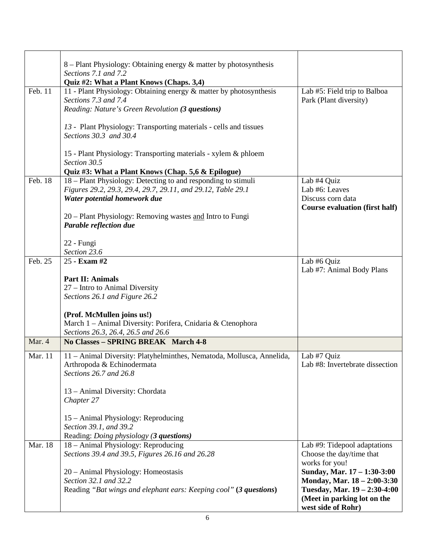|         | 8 – Plant Physiology: Obtaining energy $\&$ matter by photosynthesis<br>Sections 7.1 and 7.2<br>Quiz #2: What a Plant Knows (Chaps. 3,4)       |                                                        |
|---------|------------------------------------------------------------------------------------------------------------------------------------------------|--------------------------------------------------------|
| Feb. 11 | 11 - Plant Physiology: Obtaining energy & matter by photosynthesis<br>Sections 7.3 and 7.4<br>Reading: Nature's Green Revolution (3 questions) | Lab #5: Field trip to Balboa<br>Park (Plant diversity) |
|         | 13 - Plant Physiology: Transporting materials - cells and tissues<br>Sections 30.3 and 30.4                                                    |                                                        |
|         | 15 - Plant Physiology: Transporting materials - xylem & phloem<br>Section 30.5                                                                 |                                                        |
|         | Quiz #3: What a Plant Knows (Chap. 5,6 & Epilogue)                                                                                             |                                                        |
| Feb. 18 | 18 – Plant Physiology: Detecting to and responding to stimuli                                                                                  | Lab #4 Quiz                                            |
|         | Figures 29.2, 29.3, 29.4, 29.7, 29.11, and 29.12, Table 29.1                                                                                   | Lab #6: Leaves                                         |
|         | Water potential homework due                                                                                                                   | Discuss corn data                                      |
|         |                                                                                                                                                | <b>Course evaluation (first half)</b>                  |
|         | 20 – Plant Physiology: Removing wastes and Intro to Fungi<br>Parable reflection due                                                            |                                                        |
|         | 22 - Fungi                                                                                                                                     |                                                        |
|         | Section 23.6                                                                                                                                   |                                                        |
| Feb. 25 | 25 - Exam #2                                                                                                                                   | Lab #6 Quiz                                            |
|         |                                                                                                                                                | Lab #7: Animal Body Plans                              |
|         | <b>Part II: Animals</b>                                                                                                                        |                                                        |
|         | 27 – Intro to Animal Diversity                                                                                                                 |                                                        |
|         | Sections 26.1 and Figure 26.2                                                                                                                  |                                                        |
|         |                                                                                                                                                |                                                        |
|         | (Prof. McMullen joins us!)                                                                                                                     |                                                        |
|         | March 1 - Animal Diversity: Porifera, Cnidaria & Ctenophora                                                                                    |                                                        |
|         | Sections 26.3, 26.4, 26.5 and 26.6                                                                                                             |                                                        |
| Mar. 4  | No Classes - SPRING BREAK March 4-8                                                                                                            |                                                        |
|         |                                                                                                                                                |                                                        |
| Mar. 11 | 11 - Animal Diversity: Platyhelminthes, Nematoda, Mollusca, Annelida,                                                                          | Lab #7 Quiz                                            |
|         | Arthropoda & Echinodermata                                                                                                                     | Lab #8: Invertebrate dissection                        |
|         | Sections 26.7 and 26.8                                                                                                                         |                                                        |
|         |                                                                                                                                                |                                                        |
|         | 13 - Animal Diversity: Chordata                                                                                                                |                                                        |
|         | Chapter 27                                                                                                                                     |                                                        |
|         |                                                                                                                                                |                                                        |
|         | 15 - Animal Physiology: Reproducing                                                                                                            |                                                        |
|         | Section 39.1, and 39.2                                                                                                                         |                                                        |
|         | Reading: Doing physiology (3 questions)                                                                                                        |                                                        |
| Mar. 18 | 18 - Animal Physiology: Reproducing                                                                                                            | Lab #9: Tidepool adaptations                           |
|         | Sections 39.4 and 39.5, Figures 26.16 and 26.28                                                                                                | Choose the day/time that                               |
|         |                                                                                                                                                | works for you!                                         |
|         | 20 - Animal Physiology: Homeostasis                                                                                                            | Sunday, Mar. 17 - 1:30-3:00                            |
|         | Section 32.1 and 32.2                                                                                                                          | Monday, Mar. 18 - 2:00-3:30                            |
|         | Reading "Bat wings and elephant ears: Keeping cool" (3 questions)                                                                              | Tuesday, Mar. 19 - 2:30-4:00                           |
|         |                                                                                                                                                | (Meet in parking lot on the                            |
|         |                                                                                                                                                | west side of Rohr)                                     |